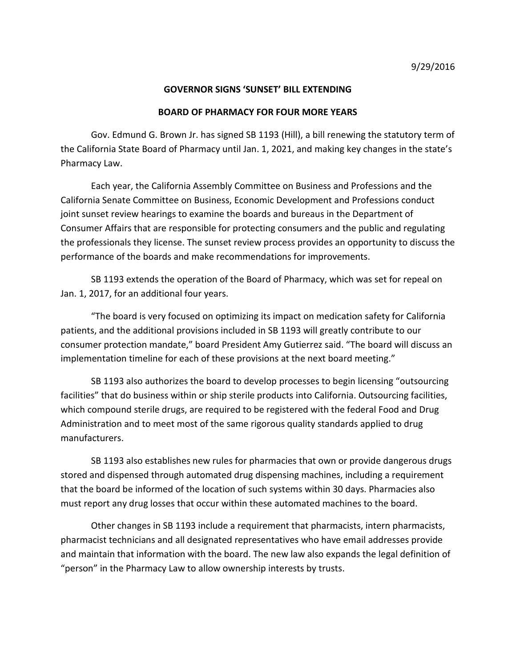## **GOVERNOR SIGNS 'SUNSET' BILL EXTENDING**

## **BOARD OF PHARMACY FOR FOUR MORE YEARS**

Gov. Edmund G. Brown Jr. has signed SB 1193 (Hill), a bill renewing the statutory term of the California State Board of Pharmacy until Jan. 1, 2021, and making key changes in the state's Pharmacy Law.

 Each year, the California Assembly Committee on Business and Professions and the California Senate Committee on Business, Economic Development and Professions conduct joint sunset review hearings to examine the boards and bureaus in the Department of Consumer Affairs that are responsible for protecting consumers and the public and regulating the professionals they license. The sunset review process provides an opportunity to discuss the performance of the boards and make recommendations for improvements.

SB 1193 extends the operation of the Board of Pharmacy, which was set for repeal on Jan. 1, 2017, for an additional four years.

"The board is very focused on optimizing its impact on medication safety for California patients, and the additional provisions included in SB 1193 will greatly contribute to our consumer protection mandate," board President Amy Gutierrez said. "The board will discuss an implementation timeline for each of these provisions at the next board meeting."

SB 1193 also authorizes the board to develop processes to begin licensing "outsourcing facilities" that do business within or ship sterile products into California. Outsourcing facilities, which compound sterile drugs, are required to be registered with the federal Food and Drug Administration and to meet most of the same rigorous quality standards applied to drug manufacturers.

SB 1193 also establishes new rules for pharmacies that own or provide dangerous drugs stored and dispensed through automated drug dispensing machines, including a requirement that the board be informed of the location of such systems within 30 days. Pharmacies also must report any drug losses that occur within these automated machines to the board.

Other changes in SB 1193 include a requirement that pharmacists, intern pharmacists, pharmacist technicians and all designated representatives who have email addresses provide and maintain that information with the board. The new law also expands the legal definition of "person" in the Pharmacy Law to allow ownership interests by trusts.